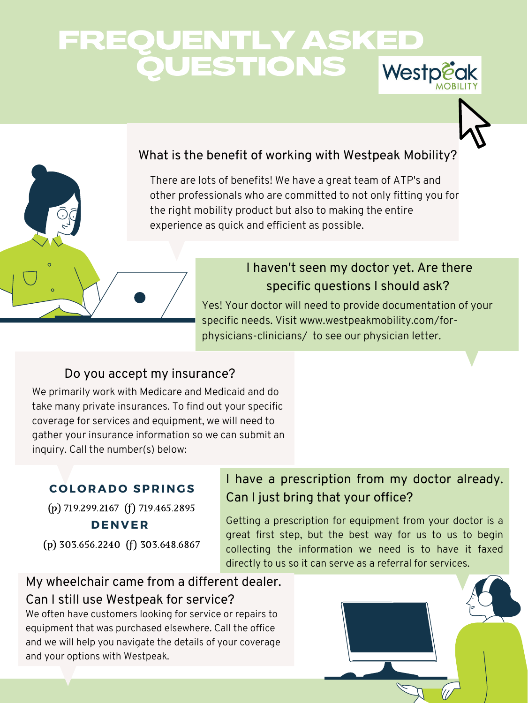# FREQUENTLY ASKED QUESTIONS Westp



#### What is the benefit of working with Westpeak Mobility?

#### Do you accept my insurance?

#### My wheelchair came from a different dealer.

#### Can I still use Westpeak for service?



## I have a prescription from my doctor already. Can I just bring that your office?

There are lots of benefits! We have a great team of ATP's and other professionals who are committed to not only fitting you for the right mobility product but also to making the entire experience as quick and efficient as possible.

We primarily work with Medicare and Medicaid and do take many private insurances. To find out your specific coverage for services and equipment, we will need to gather your insurance information so we can submit an inquiry. Call the number(s) below:

We often have customers looking for service or repairs to equipment that was purchased elsewhere. Call the office and we will help you navigate the details of your coverage and your options with Westpeak.

Yes! Your doctor will need to provide documentation of your specific needs. Visit www.westpeakmobility.com/forphysicians-clinicians/ to see our physician letter.

Getting a prescription for equipment from your doctor is a great first step, but the best way for us to us to begin collecting the information we need is to have it faxed directly to us so it can serve as a referral for services.

#### **C O L O RAD O SP R ING S**

 $\circ$ 

(p) 719.299.2167 (f) 719.465.2895 **DENV E R**

(p) 303.656.2240 (f) 303.648.6867